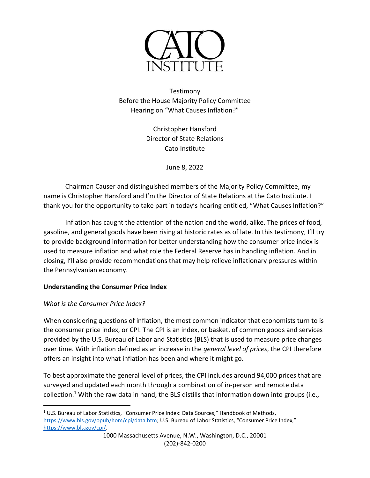

Testimony Before the House Majority Policy Committee Hearing on "What Causes Inflation?"

> Christopher Hansford Director of State Relations Cato Institute

> > June 8, 2022

Chairman Causer and distinguished members of the Majority Policy Committee, my name is Christopher Hansford and I'm the Director of State Relations at the Cato Institute. I thank you for the opportunity to take part in today's hearing entitled, "What Causes Inflation?"

Inflation has caught the attention of the nation and the world, alike. The prices of food, gasoline, and general goods have been rising at historic rates as of late. In this testimony, I'll try to provide background information for better understanding how the consumer price index is used to measure inflation and what role the Federal Reserve has in handling inflation. And in closing, I'll also provide recommendations that may help relieve inflationary pressures within the Pennsylvanian economy.

# **Understanding the Consumer Price Index**

## *What is the Consumer Price Index?*

When considering questions of inflation, the most common indicator that economists turn to is the consumer price index, or CPI. The CPI is an index, or basket, of common goods and services provided by the U.S. Bureau of Labor and Statistics (BLS) that is used to measure price changes over time. With inflation defined as an increase in the *general level of prices*, the CPI therefore offers an insight into what inflation has been and where it might go.

To best approximate the general level of prices, the CPI includes around 94,000 prices that are surveyed and updated each month through a combination of in-person and remote data collection.<sup>1</sup> With the raw data in hand, the BLS distills that information down into groups (i.e.,

 $1$  U.S. Bureau of Labor Statistics, "Consumer Price Index: Data Sources," Handbook of Methods, [https://www.bls.gov/opub/hom/cpi/data.htm;](https://www.bls.gov/opub/hom/cpi/data.htm) U.S. Bureau of Labor Statistics, "Consumer Price Index," [https://www.bls.gov/cpi/.](https://www.bls.gov/cpi/)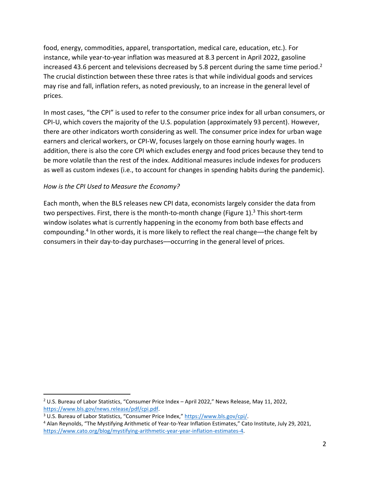food, energy, commodities, apparel, transportation, medical care, education, etc.). For instance, while year-to-year inflation was measured at 8.3 percent in April 2022, gasoline increased 43.6 percent and televisions decreased by 5.8 percent during the same time period.<sup>2</sup> The crucial distinction between these three rates is that while individual goods and services may rise and fall, inflation refers, as noted previously, to an increase in the general level of prices.

In most cases, "the CPI" is used to refer to the consumer price index for all urban consumers, or CPI-U, which covers the majority of the U.S. population (approximately 93 percent). However, there are other indicators worth considering as well. The consumer price index for urban wage earners and clerical workers, or CPI-W, focuses largely on those earning hourly wages. In addition, there is also the core CPI which excludes energy and food prices because they tend to be more volatile than the rest of the index. Additional measures include indexes for producers as well as custom indexes (i.e., to account for changes in spending habits during the pandemic).

## *How is the CPI Used to Measure the Economy?*

Each month, when the BLS releases new CPI data, economists largely consider the data from two perspectives. First, there is the month-to-month change (Figure 1).<sup>3</sup> This short-term window isolates what is currently happening in the economy from both base effects and compounding.<sup>4</sup> In other words, it is more likely to reflect the real change—the change felt by consumers in their day-to-day purchases––occurring in the general level of prices.

 $2$  U.S. Bureau of Labor Statistics, "Consumer Price Index – April 2022," News Release, May 11, 2022, [https://www.bls.gov/news.release/pdf/cpi.pdf.](https://www.bls.gov/news.release/pdf/cpi.pdf)

<sup>3</sup> U.S. Bureau of Labor Statistics, "Consumer Price Index," [https://www.bls.gov/cpi/.](https://www.bls.gov/cpi/)

<sup>4</sup> Alan Reynolds, "The Mystifying Arithmetic of Year-to-Year Inflation Estimates," Cato Institute, July 29, 2021, [https://www.cato.org/blog/mystifying-arithmetic-year-year-inflation-estimates-4.](https://www.cato.org/blog/mystifying-arithmetic-year-year-inflation-estimates-4)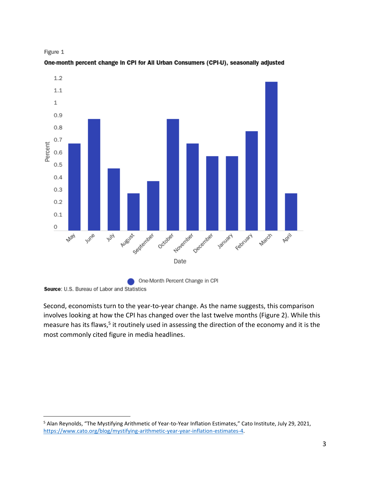



One-month percent change In CPI for All Urban Consumers (CPI-U), seasonally adjusted

Source: U.S. Bureau of Labor and Statistics

Second, economists turn to the year-to-year change. As the name suggests, this comparison involves looking at how the CPI has changed over the last twelve months (Figure 2). While this measure has its flaws,<sup>5</sup> it routinely used in assessing the direction of the economy and it is the most commonly cited figure in media headlines.

<sup>&</sup>lt;sup>5</sup> Alan Reynolds, "The Mystifying Arithmetic of Year-to-Year Inflation Estimates," Cato Institute, July 29, 2021, [https://www.cato.org/blog/mystifying-arithmetic-year-year-inflation-estimates-4.](https://www.cato.org/blog/mystifying-arithmetic-year-year-inflation-estimates-4)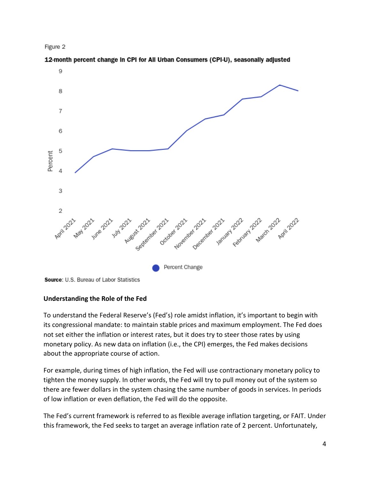



12-month percent change in CPI for All Urban Consumers (CPI-U), seasonally adjusted

# **Understanding the Role of the Fed**

To understand the Federal Reserve's (Fed's) role amidst inflation, it's important to begin with its congressional mandate: to maintain stable prices and maximum employment. The Fed does not set either the inflation or interest rates, but it does try to steer those rates by using monetary policy. As new data on inflation (i.e., the CPI) emerges, the Fed makes decisions about the appropriate course of action.

For example, during times of high inflation, the Fed will use contractionary monetary policy to tighten the money supply. In other words, the Fed will try to pull money out of the system so there are fewer dollars in the system chasing the same number of goods in services. In periods of low inflation or even deflation, the Fed will do the opposite.

The Fed's current framework is referred to as flexible average inflation targeting, or FAIT. Under this framework, the Fed seeks to target an average inflation rate of 2 percent. Unfortunately,

Source: U.S. Bureau of Labor Statistics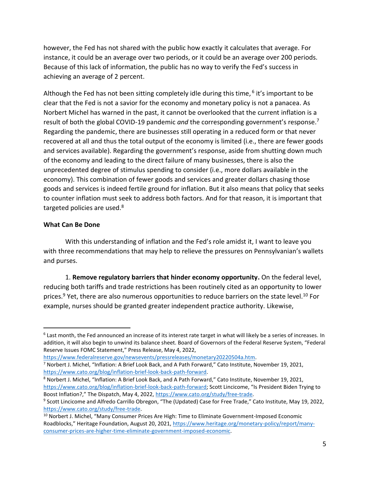however, the Fed has not shared with the public how exactly it calculates that average. For instance, it could be an average over two periods, or it could be an average over 200 periods. Because of this lack of information, the public has no way to verify the Fed's success in achieving an average of 2 percent.

Although the Fed has not been sitting completely idle during this time, <sup>6</sup> it's important to be clear that the Fed is not a savior for the economy and monetary policy is not a panacea. As Norbert Michel has warned in the past, it cannot be overlooked that the current inflation is a result of both the global COVID-19 pandemic *and* the corresponding government's response.<sup>7</sup> Regarding the pandemic, there are businesses still operating in a reduced form or that never recovered at all and thus the total output of the economy is limited (i.e., there are fewer goods and services available). Regarding the government's response, aside from shutting down much of the economy and leading to the direct failure of many businesses, there is also the unprecedented degree of stimulus spending to consider (i.e., more dollars available in the economy). This combination of fewer goods and services and greater dollars chasing those goods and services is indeed fertile ground for inflation. But it also means that policy that seeks to counter inflation must seek to address both factors. And for that reason, it is important that targeted policies are used.<sup>8</sup>

### **What Can Be Done**

With this understanding of inflation and the Fed's role amidst it, I want to leave you with three recommendations that may help to relieve the pressures on Pennsylvanian's wallets and purses.

1. **Remove regulatory barriers that hinder economy opportunity.** On the federal level, reducing both tariffs and trade restrictions has been routinely cited as an opportunity to lower prices.<sup>9</sup> Yet, there are also numerous opportunities to reduce barriers on the state level.<sup>10</sup> For example, nurses should be granted greater independent practice authority. Likewise,

<sup>&</sup>lt;sup>6</sup> Last month, the Fed announced an increase of its interest rate target in what will likely be a series of increases. In addition, it will also begin to unwind its balance sheet. Board of Governors of the Federal Reserve System, "Federal Reserve Issues FOMC Statement," Press Release, May 4, 2022,

[https://www.federalreserve.gov/newsevents/pressreleases/monetary20220504a.htm.](https://www.federalreserve.gov/newsevents/pressreleases/monetary20220504a.htm) 

<sup>7</sup> Norbert J. Michel, "Inflation: A Brief Look Back, and A Path Forward," Cato Institute, November 19, 2021, [https://www.cato.org/blog/inflation-brief-look-back-path-forward.](https://www.cato.org/blog/inflation-brief-look-back-path-forward)

<sup>8</sup> Norbert J. Michel, "Inflation: A Brief Look Back, and A Path Forward," Cato Institute, November 19, 2021, [https://www.cato.org/blog/inflation-brief-look-back-path-forward;](https://www.cato.org/blog/inflation-brief-look-back-path-forward) Scott Lincicome, "Is President Biden Trying to Boost Inflation?," The Dispatch, May 4, 2022, [https://www.cato.org/study/free-trade.](https://www.cato.org/study/free-trade)

<sup>&</sup>lt;sup>9</sup> Scott Lincicome and Alfredo Carrillo Obregon, "The (Updated) Case for Free Trade," Cato Institute, May 19, 2022, [https://www.cato.org/study/free-trade.](https://www.cato.org/study/free-trade)

<sup>&</sup>lt;sup>10</sup> Norbert J. Michel, "Many Consumer Prices Are High: Time to Eliminate Government-Imposed Economic Roadblocks," Heritage Foundation, August 20, 2021, [https://www.heritage.org/monetary-policy/report/many](https://www.heritage.org/monetary-policy/report/many-consumer-prices-are-higher-time-eliminate-government-imposed-economic)[consumer-prices-are-higher-time-eliminate-government-imposed-economic.](https://www.heritage.org/monetary-policy/report/many-consumer-prices-are-higher-time-eliminate-government-imposed-economic)